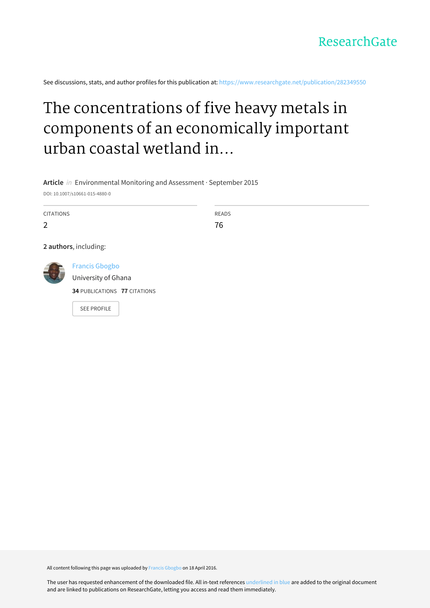See discussions, stats, and author profiles for this publication at: [https://www.researchgate.net/publication/282349550](https://www.researchgate.net/publication/282349550_The_concentrations_of_five_heavy_metals_in_components_of_an_economically_important_urban_coastal_wetland_in_Ghana_public_health_and_phytoremediation_implications?enrichId=rgreq-98fcadb3f0a70df9475554036d87863e-XXX&enrichSource=Y292ZXJQYWdlOzI4MjM0OTU1MDtBUzozNTIxNjU5MDMyNTc2MDFAMTQ2MDk3NDMwMjYwMQ%3D%3D&el=1_x_2&_esc=publicationCoverPdf)

# The concentrations of five heavy metals in components of an economically important urban coastal wetland in...

**Article** in Environmental Monitoring and Assessment · September 2015

DOI: 10.1007/s10661-015-4880-0

CITATIONS

2

READS 76

**2 authors**, including:

Francis [Gbogbo](https://www.researchgate.net/profile/Francis_Gbogbo?enrichId=rgreq-98fcadb3f0a70df9475554036d87863e-XXX&enrichSource=Y292ZXJQYWdlOzI4MjM0OTU1MDtBUzozNTIxNjU5MDMyNTc2MDFAMTQ2MDk3NDMwMjYwMQ%3D%3D&el=1_x_5&_esc=publicationCoverPdf)

[University](https://www.researchgate.net/institution/University_of_Ghana?enrichId=rgreq-98fcadb3f0a70df9475554036d87863e-XXX&enrichSource=Y292ZXJQYWdlOzI4MjM0OTU1MDtBUzozNTIxNjU5MDMyNTc2MDFAMTQ2MDk3NDMwMjYwMQ%3D%3D&el=1_x_6&_esc=publicationCoverPdf) of Ghana

**34** PUBLICATIONS **77** CITATIONS

SEE [PROFILE](https://www.researchgate.net/profile/Francis_Gbogbo?enrichId=rgreq-98fcadb3f0a70df9475554036d87863e-XXX&enrichSource=Y292ZXJQYWdlOzI4MjM0OTU1MDtBUzozNTIxNjU5MDMyNTc2MDFAMTQ2MDk3NDMwMjYwMQ%3D%3D&el=1_x_7&_esc=publicationCoverPdf)

All content following this page was uploaded by Francis [Gbogbo](https://www.researchgate.net/profile/Francis_Gbogbo?enrichId=rgreq-98fcadb3f0a70df9475554036d87863e-XXX&enrichSource=Y292ZXJQYWdlOzI4MjM0OTU1MDtBUzozNTIxNjU5MDMyNTc2MDFAMTQ2MDk3NDMwMjYwMQ%3D%3D&el=1_x_10&_esc=publicationCoverPdf) on 18 April 2016.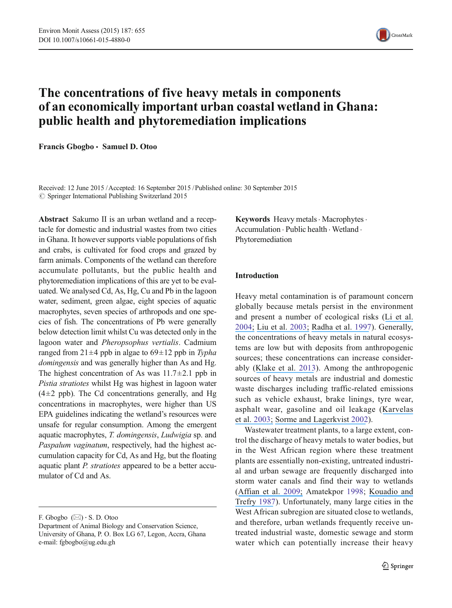

## The concentrations of five heavy metals in components of an economically important urban coastal wetland in Ghana: public health and phytoremediation implications

Francis Gbogbo & Samuel D. Otoo

Received: 12 June 2015 /Accepted: 16 September 2015 /Published online: 30 September 2015  $\odot$  Springer International Publishing Switzerland 2015

Abstract Sakumo II is an urban wetland and a receptacle for domestic and industrial wastes from two cities in Ghana. It however supports viable populations of fish and crabs, is cultivated for food crops and grazed by farm animals. Components of the wetland can therefore accumulate pollutants, but the public health and phytoremediation implications of this are yet to be evaluated. We analysed Cd, As, Hg, Cu and Pb in the lagoon water, sediment, green algae, eight species of aquatic macrophytes, seven species of arthropods and one species of fish. The concentrations of Pb were generally below detection limit whilst Cu was detected only in the lagoon water and Pheropsophus vertialis. Cadmium ranged from  $21 \pm 4$  ppb in algae to  $69 \pm 12$  ppb in Typha domingensis and was generally higher than As and Hg. The highest concentration of As was  $11.7 \pm 2.1$  ppb in Pistia stratiotes whilst Hg was highest in lagoon water  $(4\pm2$  ppb). The Cd concentrations generally, and Hg concentrations in macrophytes, were higher than US EPA guidelines indicating the wetland's resources were unsafe for regular consumption. Among the emergent aquatic macrophytes, T. domingensis, Ludwigia sp. and Paspalum vaginatum, respectively, had the highest accumulation capacity for Cd, As and Hg, but the floating aquatic plant P. stratiotes appeared to be a better accumulator of Cd and As.

F. Gbogbo  $(\boxtimes) \cdot$  S. D. Otoo

Keywords Heavy metals · Macrophytes · Accumulation . Public health . Wetland . Phytoremediation

## Introduction

Heavy metal contamination is of paramount concern globally because metals persist in the environment and present a number of ecological risks ([Li et al.](https://www.researchgate.net/publication/8898288_The_Study_of_Metal_Contamination_in_Urban_Soils_of_Hong_Kong_Using_a_GIS-based_Approach?el=1_x_8&enrichId=rgreq-98fcadb3f0a70df9475554036d87863e-XXX&enrichSource=Y292ZXJQYWdlOzI4MjM0OTU1MDtBUzozNTIxNjU5MDMyNTc2MDFAMTQ2MDk3NDMwMjYwMQ==) [2004](#page-11-0)[;](https://www.researchgate.net/publication/8898288_The_Study_of_Metal_Contamination_in_Urban_Soils_of_Hong_Kong_Using_a_GIS-based_Approach?el=1_x_8&enrichId=rgreq-98fcadb3f0a70df9475554036d87863e-XXX&enrichSource=Y292ZXJQYWdlOzI4MjM0OTU1MDtBUzozNTIxNjU5MDMyNTc2MDFAMTQ2MDk3NDMwMjYwMQ==) [Liu et al.](https://www.researchgate.net/publication/7558196_Multivariate_Statistical_Study_of_Heavy_Metal_Enrichment_in_Sediments_of_the_Pearl_River_Estuary?el=1_x_8&enrichId=rgreq-98fcadb3f0a70df9475554036d87863e-XXX&enrichSource=Y292ZXJQYWdlOzI4MjM0OTU1MDtBUzozNTIxNjU5MDMyNTc2MDFAMTQ2MDk3NDMwMjYwMQ==) [2003;](#page-11-0) [Radha et al.](https://www.researchgate.net/publication/13199560_Assessment_of_Pb_Cd_Cu_and_Zn_Exposures_of_6-_to_10-Year-Old_Children_in_Mumbai?el=1_x_8&enrichId=rgreq-98fcadb3f0a70df9475554036d87863e-XXX&enrichSource=Y292ZXJQYWdlOzI4MjM0OTU1MDtBUzozNTIxNjU5MDMyNTc2MDFAMTQ2MDk3NDMwMjYwMQ==) [1997\)](#page-11-0). Generally, the concentrations of heavy metals in natural ecosystems are low but with deposits from anthropogenic sources; these concentrations can increase considerably ([Klake et al.](https://www.researchgate.net/publication/260383873_Correlation_between_Heavy_Metals_in_Fish_and_Sediment_in_Sakumo_and_Kpeshie_Lagoons_Ghana?el=1_x_8&enrichId=rgreq-98fcadb3f0a70df9475554036d87863e-XXX&enrichSource=Y292ZXJQYWdlOzI4MjM0OTU1MDtBUzozNTIxNjU5MDMyNTc2MDFAMTQ2MDk3NDMwMjYwMQ==) [2013](#page-11-0)). Among the anthropogenic sources of heavy metals are industrial and domestic waste discharges including traffic-related emissions such as vehicle exhaust, brake linings, tyre wear, asphalt wear, gasoline and oil leakage ([Karvelas](https://www.researchgate.net/publication/9056953_Occurence_and_Fate_of_Heavy_Metals_in_the_Wastewater_Treatmnet_Process?el=1_x_8&enrichId=rgreq-98fcadb3f0a70df9475554036d87863e-XXX&enrichSource=Y292ZXJQYWdlOzI4MjM0OTU1MDtBUzozNTIxNjU5MDMyNTc2MDFAMTQ2MDk3NDMwMjYwMQ==) et al. [2003](#page-11-0)[;](https://www.researchgate.net/publication/9056953_Occurence_and_Fate_of_Heavy_Metals_in_the_Wastewater_Treatmnet_Process?el=1_x_8&enrichId=rgreq-98fcadb3f0a70df9475554036d87863e-XXX&enrichSource=Y292ZXJQYWdlOzI4MjM0OTU1MDtBUzozNTIxNjU5MDMyNTc2MDFAMTQ2MDk3NDMwMjYwMQ==) [Sorme and Lagerkvist](https://www.researchgate.net/publication/7398273_Sources_of_Heavy_Metals_in_Urban_Wastewater_in_Stockholm?el=1_x_8&enrichId=rgreq-98fcadb3f0a70df9475554036d87863e-XXX&enrichSource=Y292ZXJQYWdlOzI4MjM0OTU1MDtBUzozNTIxNjU5MDMyNTc2MDFAMTQ2MDk3NDMwMjYwMQ==) [2002\)](#page-11-0).

Wastewater treatment plants, to a large extent, control the discharge of heavy metals to water bodies, but in the West African region where these treatment plants are essentially non-existing, untreated industrial and urban sewage are frequently discharged into storm water canals and find their way to wetlands ([Affian et al.](https://www.researchgate.net/publication/23642549_Heavy_metal_and_polycyclic_aromatic_hydrocarbons_in_Ebri_lagoon_sediments_Cte_d) [2009;](#page-10-0) Amatekpor [1998](#page-10-0); [Kouadio and](https://www.researchgate.net/publication/227031036_Sediment_trace_metal_contamination_in_the_Ivory_Coast_West_Africa?el=1_x_8&enrichId=rgreq-98fcadb3f0a70df9475554036d87863e-XXX&enrichSource=Y292ZXJQYWdlOzI4MjM0OTU1MDtBUzozNTIxNjU5MDMyNTc2MDFAMTQ2MDk3NDMwMjYwMQ==) [Trefry](https://www.researchgate.net/publication/227031036_Sediment_trace_metal_contamination_in_the_Ivory_Coast_West_Africa?el=1_x_8&enrichId=rgreq-98fcadb3f0a70df9475554036d87863e-XXX&enrichSource=Y292ZXJQYWdlOzI4MjM0OTU1MDtBUzozNTIxNjU5MDMyNTc2MDFAMTQ2MDk3NDMwMjYwMQ==) [1987\)](#page-11-0). Unfortunately, many large cities in the West African subregion are situated close to wetlands, and therefore, urban wetlands frequently receive untreated industrial waste, domestic sewage and storm water which can potentially increase their heavy

Department of Animal Biology and Conservation Science, University of Ghana, P. O. Box LG 67, Legon, Accra, Ghana e-mail: fgbogbo@ug.edu.gh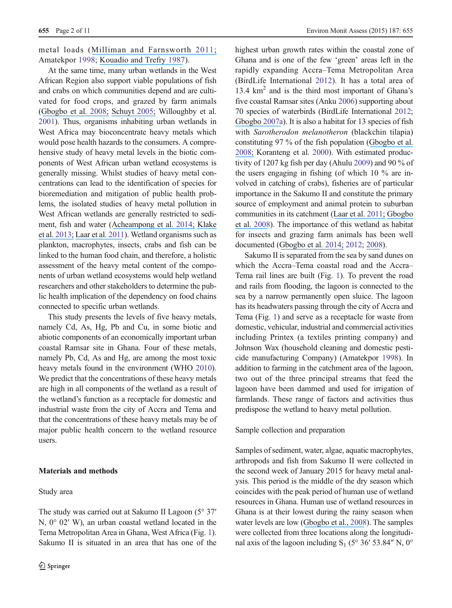metal loads ([Milliman and Farnsworth](https://www.researchgate.net/publication/235662135_River_Discharge_to_the_Coastal_Ocean_-_A_Global_Synthesis?el=1_x_8&enrichId=rgreq-98fcadb3f0a70df9475554036d87863e-XXX&enrichSource=Y292ZXJQYWdlOzI4MjM0OTU1MDtBUzozNTIxNjU5MDMyNTc2MDFAMTQ2MDk3NDMwMjYwMQ==) [2011](#page-11-0); Amatekpor [1998](#page-10-0); [Kouadio and Trefry](https://www.researchgate.net/publication/227031036_Sediment_trace_metal_contamination_in_the_Ivory_Coast_West_Africa?el=1_x_8&enrichId=rgreq-98fcadb3f0a70df9475554036d87863e-XXX&enrichSource=Y292ZXJQYWdlOzI4MjM0OTU1MDtBUzozNTIxNjU5MDMyNTc2MDFAMTQ2MDk3NDMwMjYwMQ==) [1987](#page-11-0)).

At the same time, many urban wetlands in the West African Region also support viable populations of fish and crabs on which communities depend and are cultivated for food crops, and grazed by farm animals ([Gbogbo et al.](https://www.researchgate.net/publication/249041056_Nature_and_pattern_of_lagoon_fisheries_resource_utilisation_and_their_implications_for_waterbird_management_in_coastal_Ghana?el=1_x_8&enrichId=rgreq-98fcadb3f0a70df9475554036d87863e-XXX&enrichSource=Y292ZXJQYWdlOzI4MjM0OTU1MDtBUzozNTIxNjU5MDMyNTc2MDFAMTQ2MDk3NDMwMjYwMQ==) [2008;](#page-11-0) [Schuyt](https://www.researchgate.net/publication/222818394_Economic_Consequences_of_Wetland_Degradation_for_Local_Populations_in_Africa?el=1_x_8&enrichId=rgreq-98fcadb3f0a70df9475554036d87863e-XXX&enrichSource=Y292ZXJQYWdlOzI4MjM0OTU1MDtBUzozNTIxNjU5MDMyNTc2MDFAMTQ2MDk3NDMwMjYwMQ==) [2005;](#page-11-0) Willoughby et al. [2001](#page-11-0)). Thus, organisms inhabiting urban wetlands in West Africa may bioconcentrate heavy metals which would pose health hazards to the consumers. A comprehensive study of heavy metal levels in the biotic components of West African urban wetland ecosystems is generally missing. Whilst studies of heavy metal concentrations can lead to the identification of species for bioremediation and mitigation of public health problems, the isolated studies of heavy metal pollution in West African wetlands are generally restricted to sediment, fish and water ([Acheampong et al.](https://www.researchgate.net/publication/274720474_PHYSICO-CHEMICAL_CHARACTERISTICS_OF_WATER_SAMPLES_FROM_SELECTED_WATER_BODIES_IN_AND_AROUND_ACCRA_GHANA?el=1_x_8&enrichId=rgreq-98fcadb3f0a70df9475554036d87863e-XXX&enrichSource=Y292ZXJQYWdlOzI4MjM0OTU1MDtBUzozNTIxNjU5MDMyNTc2MDFAMTQ2MDk3NDMwMjYwMQ==) [2014;](#page-10-0) [Klake](https://www.researchgate.net/publication/260383873_Correlation_between_Heavy_Metals_in_Fish_and_Sediment_in_Sakumo_and_Kpeshie_Lagoons_Ghana?el=1_x_8&enrichId=rgreq-98fcadb3f0a70df9475554036d87863e-XXX&enrichSource=Y292ZXJQYWdlOzI4MjM0OTU1MDtBUzozNTIxNjU5MDMyNTc2MDFAMTQ2MDk3NDMwMjYwMQ==) et al. [2013](#page-11-0)[;](https://www.researchgate.net/publication/260383873_Correlation_between_Heavy_Metals_in_Fish_and_Sediment_in_Sakumo_and_Kpeshie_Lagoons_Ghana?el=1_x_8&enrichId=rgreq-98fcadb3f0a70df9475554036d87863e-XXX&enrichSource=Y292ZXJQYWdlOzI4MjM0OTU1MDtBUzozNTIxNjU5MDMyNTc2MDFAMTQ2MDk3NDMwMjYwMQ==) [Laar et al.](https://www.researchgate.net/publication/266231199_Effect_of_anthropogenic_activities_on_an_ecologically_important_wetland_in_Ghana?el=1_x_8&enrichId=rgreq-98fcadb3f0a70df9475554036d87863e-XXX&enrichSource=Y292ZXJQYWdlOzI4MjM0OTU1MDtBUzozNTIxNjU5MDMyNTc2MDFAMTQ2MDk3NDMwMjYwMQ==) [2011\)](#page-11-0). Wetland organisms such as plankton, macrophytes, insects, crabs and fish can be linked to the human food chain, and therefore, a holistic assessment of the heavy metal content of the components of urban wetland ecosystems would help wetland researchers and other stakeholders to determine the public health implication of the dependency on food chains connected to specific urban wetlands.

This study presents the levels of five heavy metals, namely Cd, As, Hg, Pb and Cu, in some biotic and abiotic components of an economically important urban coastal Ramsar site in Ghana. Four of these metals, namely Pb, Cd, As and Hg, are among the most toxic heavy metals found in the environment (WHO [2010\)](#page-11-0). We predict that the concentrations of these heavy metals are high in all components of the wetland as a result of the wetland's function as a receptacle for domestic and industrial waste from the city of Accra and Tema and that the concentrations of these heavy metals may be of major public health concern to the wetland resource users.

## Materials and methods

## Study area

highest urban growth rates within the coastal zone of Ghana and is one of the few 'green' areas left in the rapidly expanding Accra–Tema Metropolitan Area (BirdLife International [2012](#page-11-0)). It has a total area of 13.4 km2 and is the third most important of Ghana's five coastal Ramsar sites (Anku [2006](#page-10-0)) supporting about 70 species of waterbirds (BirdLife International [2012;](#page-11-0) [Gbogbo](https://www.researchgate.net/publication/230125852_The_importance_of_unmanaged_coastal_wetlands_to_waterbirds_at_coastal_Ghana?el=1_x_8&enrichId=rgreq-98fcadb3f0a70df9475554036d87863e-XXX&enrichSource=Y292ZXJQYWdlOzI4MjM0OTU1MDtBUzozNTIxNjU5MDMyNTc2MDFAMTQ2MDk3NDMwMjYwMQ==) [2007a\)](#page-11-0). It is also a habitat for 13 species of fish with Sarotherodon melanotheron (blackchin tilapia) constituting 97 % of the fish population ([Gbogbo et al.](https://www.researchgate.net/publication/249041056_Nature_and_pattern_of_lagoon_fisheries_resource_utilisation_and_their_implications_for_waterbird_management_in_coastal_Ghana?el=1_x_8&enrichId=rgreq-98fcadb3f0a70df9475554036d87863e-XXX&enrichSource=Y292ZXJQYWdlOzI4MjM0OTU1MDtBUzozNTIxNjU5MDMyNTc2MDFAMTQ2MDk3NDMwMjYwMQ==) [200](#page-11-0)[8;](https://www.researchgate.net/publication/249041056_Nature_and_pattern_of_lagoon_fisheries_resource_utilisation_and_their_implications_for_waterbird_management_in_coastal_Ghana?el=1_x_8&enrichId=rgreq-98fcadb3f0a70df9475554036d87863e-XXX&enrichSource=Y292ZXJQYWdlOzI4MjM0OTU1MDtBUzozNTIxNjU5MDMyNTc2MDFAMTQ2MDk3NDMwMjYwMQ==) Koranteng et al. [2000\)](#page-11-0). With estimated productivity of 1207 kg fish per day (Ahulu [2009](#page-10-0)) and 90 % of the users engaging in fishing (of which 10 % are involved in catching of crabs), fisheries are of particular importance in the Sakumo II and constitute the primary source of employment and animal protein to suburban communities in its catchment ([Laar et al.](https://www.researchgate.net/publication/266231199_Effect_of_anthropogenic_activities_on_an_ecologically_important_wetland_in_Ghana?el=1_x_8&enrichId=rgreq-98fcadb3f0a70df9475554036d87863e-XXX&enrichSource=Y292ZXJQYWdlOzI4MjM0OTU1MDtBUzozNTIxNjU5MDMyNTc2MDFAMTQ2MDk3NDMwMjYwMQ==) [2011;](#page-11-0) [Gbogbo](https://www.researchgate.net/publication/249041056_Nature_and_pattern_of_lagoon_fisheries_resource_utilisation_and_their_implications_for_waterbird_management_in_coastal_Ghana?el=1_x_8&enrichId=rgreq-98fcadb3f0a70df9475554036d87863e-XXX&enrichSource=Y292ZXJQYWdlOzI4MjM0OTU1MDtBUzozNTIxNjU5MDMyNTc2MDFAMTQ2MDk3NDMwMjYwMQ==) [et al.](https://www.researchgate.net/publication/249041056_Nature_and_pattern_of_lagoon_fisheries_resource_utilisation_and_their_implications_for_waterbird_management_in_coastal_Ghana?el=1_x_8&enrichId=rgreq-98fcadb3f0a70df9475554036d87863e-XXX&enrichSource=Y292ZXJQYWdlOzI4MjM0OTU1MDtBUzozNTIxNjU5MDMyNTc2MDFAMTQ2MDk3NDMwMjYwMQ==) [2008\)](#page-11-0). The importance of this wetland as habitat for insects and grazing farm animals has been well documented ([Gbogbo et al.](https://www.researchgate.net/publication/260869882_Distribution_and_Forage_Potential_of_Some_Insect_Taxa_Sampled_with_Sweep_Nets_in_the_Flood_Plains_of_a_Coastal_Ramsar_Site_in_Ghana?el=1_x_8&enrichId=rgreq-98fcadb3f0a70df9475554036d87863e-XXX&enrichSource=Y292ZXJQYWdlOzI4MjM0OTU1MDtBUzozNTIxNjU5MDMyNTc2MDFAMTQ2MDk3NDMwMjYwMQ==) [2014](#page-11-0); [2012](#page-11-0); [2008](#page-11-0)).

Sakumo II is separated from the sea by sand dunes on which the Accra–Tema coastal road and the Accra– Tema rail lines are built (Fig. [1\)](#page-3-0). To prevent the road and rails from flooding, the lagoon is connected to the sea by a narrow permanently open sluice. The lagoon has its headwaters passing through the city of Accra and Tema (Fig. [1\)](#page-3-0) and serve as a receptacle for waste from domestic, vehicular, industrial and commercial activities including Printex (a textiles printing company) and Johnson Wax (household cleaning and domestic pesticide manufacturing Company) (Amatekpor [1998](#page-10-0)). In addition to farming in the catchment area of the lagoon, two out of the three principal streams that feed the lagoon have been dammed and used for irrigation of farmlands. These range of factors and activities thus predispose the wetland to heavy metal pollution.

Sample collection and preparation

Samples of sediment, water, algae, aquatic macrophytes, arthropods and fish from Sakumo II were collected in the second week of January 2015 for heavy metal analysis. This period is the middle of the dry season which coincides with the peak period of human use of wetland resources in Ghana. Human use of wetland resources in Ghana is at their lowest during the rainy season when water levels are low ([Gbogbo et al.,](https://www.researchgate.net/publication/249041056_Nature_and_pattern_of_lagoon_fisheries_resource_utilisation_and_their_implications_for_waterbird_management_in_coastal_Ghana?el=1_x_8&enrichId=rgreq-98fcadb3f0a70df9475554036d87863e-XXX&enrichSource=Y292ZXJQYWdlOzI4MjM0OTU1MDtBUzozNTIxNjU5MDMyNTc2MDFAMTQ2MDk3NDMwMjYwMQ==) [2008\)](#page-11-0). The samples were collected from three locations along the longitudinal axis of the lagoon including  $S_1$  (5° 36′ 53.84″ N, 0°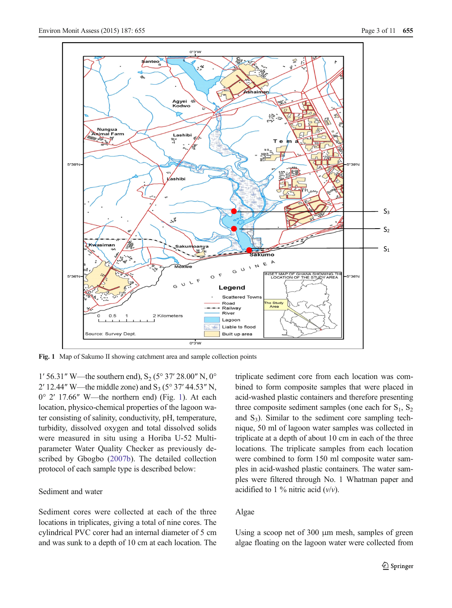<span id="page-3-0"></span>

Fig. 1 Map of Sakumo II showing catchment area and sample collection points

1' 56.31" W—the southern end),  $S_2$  (5° 37' 28.00" N, 0° 2' 12.44" W—the middle zone) and  $S_3$  (5° 37' 44.53" N, 0° 2′ 17.66″ W—the northern end) (Fig. 1). At each location, physico-chemical properties of the lagoon water consisting of salinity, conductivity, pH, temperature, turbidity, dissolved oxygen and total dissolved solids were measured in situ using a Horiba U-52 Multiparameter Water Quality Checker as previously described by Gbogbo [\(2007b](#page-11-0)). The detailed collection protocol of each sample type is described below:

## Sediment and water

Sediment cores were collected at each of the three locations in triplicates, giving a total of nine cores. The cylindrical PVC corer had an internal diameter of 5 cm and was sunk to a depth of 10 cm at each location. The triplicate sediment core from each location was combined to form composite samples that were placed in acid-washed plastic containers and therefore presenting three composite sediment samples (one each for  $S_1$ ,  $S_2$ ) and  $S_3$ ). Similar to the sediment core sampling technique, 50 ml of lagoon water samples was collected in triplicate at a depth of about 10 cm in each of the three locations. The triplicate samples from each location were combined to form 150 ml composite water samples in acid-washed plastic containers. The water samples were filtered through No. 1 Whatman paper and acidified to 1 % nitric acid  $(v/v)$ .

## Algae

Using a scoop net of 300 μm mesh, samples of green algae floating on the lagoon water were collected from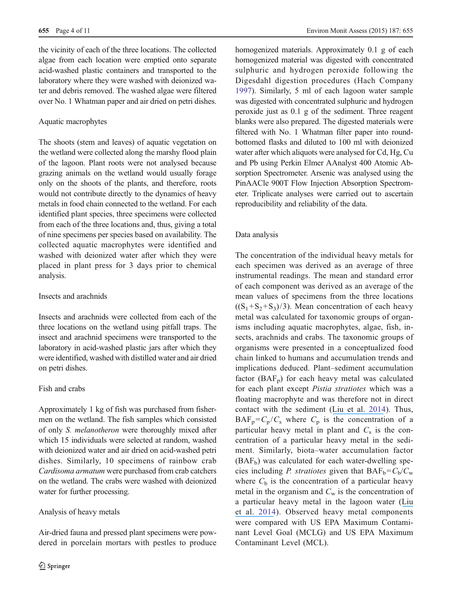the vicinity of each of the three locations. The collected algae from each location were emptied onto separate acid-washed plastic containers and transported to the laboratory where they were washed with deionized water and debris removed. The washed algae were filtered over No. 1 Whatman paper and air dried on petri dishes.

## Aquatic macrophytes

The shoots (stem and leaves) of aquatic vegetation on the wetland were collected along the marshy flood plain of the lagoon. Plant roots were not analysed because grazing animals on the wetland would usually forage only on the shoots of the plants, and therefore, roots would not contribute directly to the dynamics of heavy metals in food chain connected to the wetland. For each identified plant species, three specimens were collected from each of the three locations and, thus, giving a total of nine specimens per species based on availability. The collected aquatic macrophytes were identified and washed with deionized water after which they were placed in plant press for 3 days prior to chemical analysis.

## Insects and arachnids

Insects and arachnids were collected from each of the three locations on the wetland using pitfall traps. The insect and arachnid specimens were transported to the laboratory in acid-washed plastic jars after which they were identified, washed with distilled water and air dried on petri dishes.

## Fish and crabs

Approximately 1 kg of fish was purchased from fishermen on the wetland. The fish samples which consisted of only S. melanotheron were thoroughly mixed after which 15 individuals were selected at random, washed with deionized water and air dried on acid-washed petri dishes. Similarly, 10 specimens of rainbow crab Cardisoma armatum were purchased from crab catchers on the wetland. The crabs were washed with deionized water for further processing.

## Analysis of heavy metals

Air-dried fauna and pressed plant specimens were powdered in porcelain mortars with pestles to produce homogenized materials. Approximately 0.1 g of each homogenized material was digested with concentrated sulphuric and hydrogen peroxide following the Digesdahl digestion procedures (Hach Company [1997\)](#page-11-0). Similarly, 5 ml of each lagoon water sample was digested with concentrated sulphuric and hydrogen peroxide just as 0.1 g of the sediment. Three reagent blanks were also prepared. The digested materials were filtered with No. 1 Whatman filter paper into roundbottomed flasks and diluted to 100 ml with deionized water after which aliquots were analysed for Cd, Hg, Cu and Pb using Perkin Elmer AAnalyst 400 Atomic Absorption Spectrometer. Arsenic was analysed using the PinAACle 900T Flow Injection Absorption Spectrometer. Triplicate analyses were carried out to ascertain reproducibility and reliability of the data.

## Data analysis

The concentration of the individual heavy metals for each specimen was derived as an average of three instrumental readings. The mean and standard error of each component was derived as an average of the mean values of specimens from the three locations  $((S_1+S_2+S_3)/3)$ . Mean concentration of each heavy metal was calculated for taxonomic groups of organisms including aquatic macrophytes, algae, fish, insects, arachnids and crabs. The taxonomic groups of organisms were presented in a conceptualized food chain linked to humans and accumulation trends and implications deduced. Plant–sediment accumulation factor  $(BAF_p)$  for each heavy metal was calculated for each plant except Pistia stratiotes which was a floating macrophyte and was therefore not in direct contact with the sediment ([Liu et al.](https://www.researchgate.net/publication/258168608_Bioaccumulation_and_Translocation_of_Arsenic_in_the_Ecosystem_of_the_Guandu_Wetland_Taiwan?el=1_x_8&enrichId=rgreq-98fcadb3f0a70df9475554036d87863e-XXX&enrichSource=Y292ZXJQYWdlOzI4MjM0OTU1MDtBUzozNTIxNjU5MDMyNTc2MDFAMTQ2MDk3NDMwMjYwMQ==) [2014](#page-11-0)). Thus,  $BAF_p = C_p / C_s$  where  $C_p$  is the concentration of a particular heavy metal in plant and  $C_s$  is the concentration of a particular heavy metal in the sediment. Similarly, biota–water accumulation factor  $(BAF_b)$  was calculated for each water-dwelling species including *P. stratiotes* given that  $BAF_b = C_b/C_w$ where  $C<sub>b</sub>$  is the concentration of a particular heavy metal in the organism and  $C_w$  is the concentration of a particular heavy metal in the lagoon water ([Liu](https://www.researchgate.net/publication/258168608_Bioaccumulation_and_Translocation_of_Arsenic_in_the_Ecosystem_of_the_Guandu_Wetland_Taiwan?el=1_x_8&enrichId=rgreq-98fcadb3f0a70df9475554036d87863e-XXX&enrichSource=Y292ZXJQYWdlOzI4MjM0OTU1MDtBUzozNTIxNjU5MDMyNTc2MDFAMTQ2MDk3NDMwMjYwMQ==) [et al.](https://www.researchgate.net/publication/258168608_Bioaccumulation_and_Translocation_of_Arsenic_in_the_Ecosystem_of_the_Guandu_Wetland_Taiwan?el=1_x_8&enrichId=rgreq-98fcadb3f0a70df9475554036d87863e-XXX&enrichSource=Y292ZXJQYWdlOzI4MjM0OTU1MDtBUzozNTIxNjU5MDMyNTc2MDFAMTQ2MDk3NDMwMjYwMQ==) [2014](#page-11-0)). Observed heavy metal components were compared with US EPA Maximum Contaminant Level Goal (MCLG) and US EPA Maximum Contaminant Level (MCL).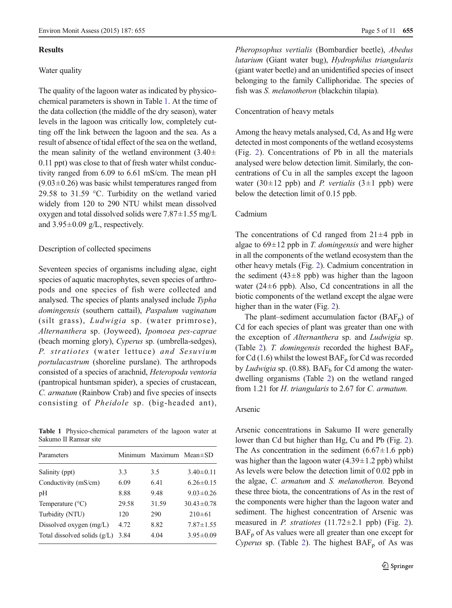#### Results

#### Water quality

The quality of the lagoon water as indicated by physicochemical parameters is shown in Table 1. At the time of the data collection (the middle of the dry season), water levels in the lagoon was critically low, completely cutting off the link between the lagoon and the sea. As a result of absence of tidal effect of the sea on the wetland, the mean salinity of the wetland environment  $(3.40 \pm$ 0.11 ppt) was close to that of fresh water whilst conductivity ranged from 6.09 to 6.61 mS/cm. The mean pH  $(9.03\pm0.26)$  was basic whilst temperatures ranged from 29.58 to 31.59 °C. Turbidity on the wetland varied widely from 120 to 290 NTU whilst mean dissolved oxygen and total dissolved solids were  $7.87 \pm 1.55$  mg/L and  $3.95\pm0.09$  g/L, respectively.

#### Description of collected specimens

Seventeen species of organisms including algae, eight species of aquatic macrophytes, seven species of arthropods and one species of fish were collected and analysed. The species of plants analysed include Typha domingensis (southern cattail), Paspalum vaginatum (silt grass), Ludwigia sp. (water primrose), Alternanthera sp. (Joyweed), Ipomoea pes-caprae (beach morning glory), Cyperus sp. (umbrella-sedges), P. stratiotes (water lettuce) and Sesuvium portulacastrum (shoreline purslane). The arthropods consisted of a species of arachnid, Heteropoda ventoria (pantropical huntsman spider), a species of crustacean, C. armatum (Rainbow Crab) and five species of insects consisting of Pheidole sp. (big-headed ant),

Table 1 Physico-chemical parameters of the lagoon water at Sakumo II Ramsar site

| Parameters                   |       | Minimum Maximum Mean±SD |                  |
|------------------------------|-------|-------------------------|------------------|
| Salinity (ppt)               | 3.3   | 3.5                     | $3.40 \pm 0.11$  |
| Conductivity (mS/cm)         | 6.09  | 6.41                    | $6.26 \pm 0.15$  |
| pН                           | 8.88  | 9.48                    | $9.03 \pm 0.26$  |
| Temperature $(^{\circ}C)$    | 29.58 | 31.59                   | $30.43 \pm 0.78$ |
| Turbidity (NTU)              | 120   | 290                     | $210\pm61$       |
| Dissolved oxygen $(mg/L)$    | 4.72  | 8.82                    | $7.87 \pm 1.55$  |
| Total dissolved solids (g/L) | 3.84  | 4.04                    | $3.95 \pm 0.09$  |
|                              |       |                         |                  |

Pheropsophus vertialis (Bombardier beetle), Abedus lutarium (Giant water bug), Hydrophilus triangularis (giant water beetle) and an unidentified species of insect belonging to the family Calliphoridae. The species of fish was S. melanotheron (blackchin tilapia).

#### Concentration of heavy metals

Among the heavy metals analysed, Cd, As and Hg were detected in most components of the wetland ecosystems (Fig. [2](#page-6-0)). Concentrations of Pb in all the materials analysed were below detection limit. Similarly, the concentrations of Cu in all the samples except the lagoon water (30 $\pm$ 12 ppb) and *P. vertialis* (3 $\pm$ 1 ppb) were below the detection limit of 0.15 ppb.

#### Cadmium

The concentrations of Cd ranged from  $21 \pm 4$  ppb in algae to  $69 \pm 12$  ppb in T. *domingensis* and were higher in all the components of the wetland ecosystem than the other heavy metals (Fig. [2\)](#page-6-0). Cadmium concentration in the sediment  $(43\pm8$  ppb) was higher than the lagoon water ( $24±6$  ppb). Also, Cd concentrations in all the biotic components of the wetland except the algae were higher than in the water (Fig. [2](#page-6-0)).

The plant–sediment accumulation factor  $(BAF_p)$  of Cd for each species of plant was greater than one with the exception of Alternanthera sp. and Ludwigia sp. (Table [2](#page-6-0)). T. domingensis recorded the highest  $BAF_p$ for Cd (1.6) whilst the lowest  $BAF_p$  for Cd was recorded by Ludwigia sp.  $(0.88)$ . BAF<sub>b</sub> for Cd among the waterdwelling organisms (Table [2](#page-6-0)) on the wetland ranged from 1.21 for H. triangularis to 2.67 for C. armatum.

## Arsenic

Arsenic concentrations in Sakumo II were generally lower than Cd but higher than Hg, Cu and Pb (Fig. [2\)](#page-6-0). The As concentration in the sediment  $(6.67 \pm 1.6 \text{ pb})$ was higher than the lagoon water  $(4.39 \pm 1.2$  ppb) whilst As levels were below the detection limit of 0.02 ppb in the algae, C. armatum and S. melanotheron. Beyond these three biota, the concentrations of As in the rest of the components were higher than the lagoon water and sediment. The highest concentration of Arsenic was measured in *P. stratiotes*  $(11.72 \pm 2.1$  ppb) (Fig. [2\)](#page-6-0).  $BAF<sub>p</sub>$  of As values were all greater than one except for Cyperus sp. (Table [2](#page-6-0)). The highest  $BAF_p$  of As was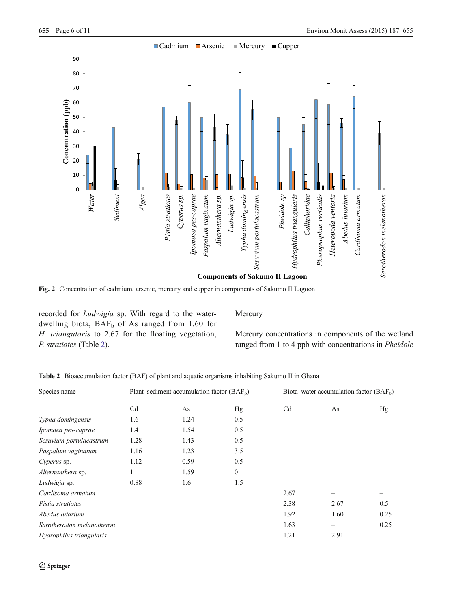<span id="page-6-0"></span>

Fig. 2 Concentration of cadmium, arsenic, mercury and cupper in components of Sakumo II Lagoon

recorded for Ludwigia sp. With regard to the waterdwelling biota,  $BAF_b$  of As ranged from 1.60 for H. triangularis to 2.67 for the floating vegetation, P. stratiotes (Table 2).

**Mercury** 

Mercury concentrations in components of the wetland ranged from 1 to 4 ppb with concentrations in Pheidole

| Species name              | Plant–sediment accumulation factor $(BAF_p)$ |      |              |                | Biota–water accumulation factor $(BAFb)$ |      |  |
|---------------------------|----------------------------------------------|------|--------------|----------------|------------------------------------------|------|--|
|                           | Cd                                           | As   | Hg           | C <sub>d</sub> | As                                       | Hg   |  |
| Typha domingensis         | 1.6                                          | 1.24 | 0.5          |                |                                          |      |  |
| Ipomoea pes-caprae        | 1.4                                          | 1.54 | 0.5          |                |                                          |      |  |
| Sesuvium portulacastrum   | 1.28                                         | 1.43 | 0.5          |                |                                          |      |  |
| Paspalum vaginatum        | 1.16                                         | 1.23 | 3.5          |                |                                          |      |  |
| Cyperus sp.               | 1.12                                         | 0.59 | 0.5          |                |                                          |      |  |
| Alternanthera sp.         | $\mathbf{r}$                                 | 1.59 | $\mathbf{0}$ |                |                                          |      |  |
| Ludwigia sp.              | 0.88                                         | 1.6  | 1.5          |                |                                          |      |  |
| Cardisoma armatum         |                                              |      |              | 2.67           |                                          |      |  |
| Pistia stratiotes         |                                              |      |              | 2.38           | 2.67                                     | 0.5  |  |
| Abedus lutarium           |                                              |      |              | 1.92           | 1.60                                     | 0.25 |  |
| Sarotherodon melanotheron |                                              |      |              | 1.63           | -                                        | 0.25 |  |
| Hydrophilus triangularis  |                                              |      |              | 1.21           | 2.91                                     |      |  |

Table 2 Bioaccumulation factor (BAF) of plant and aquatic organisms inhabiting Sakumo II in Ghana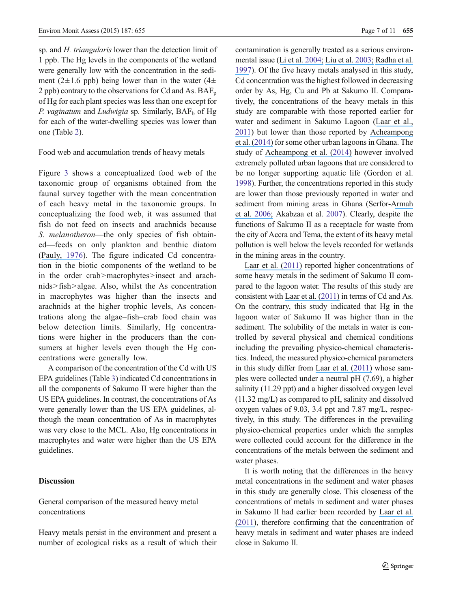sp. and *H. triangularis* lower than the detection limit of 1 ppb. The Hg levels in the components of the wetland were generally low with the concentration in the sediment (2 $\pm$ 1.6 ppb) being lower than in the water (4 $\pm$ 2 ppb) contrary to the observations for Cd and As.  $BAF_p$ of Hg for each plant species was less than one except for P. vaginatum and Ludwigia sp. Similarly,  $BAF_b$  of Hg for each of the water-dwelling species was lower than one (Table [2\)](#page-6-0).

Food web and accumulation trends of heavy metals

Figure [3](#page-8-0) shows a conceptualized food web of the taxonomic group of organisms obtained from the faunal survey together with the mean concentration of each heavy metal in the taxonomic groups. In conceptualizing the food web, it was assumed that fish do not feed on insects and arachnids because S. melanotheron—the only species of fish obtained—feeds on only plankton and benthic diatom ([Pauly,](https://www.researchgate.net/publication/256371545_The_biology_fishery_and_potential_for_aquaculture_of_Tilapia_melanotheron_in_a_small_West_African_lagoon?el=1_x_8&enrichId=rgreq-98fcadb3f0a70df9475554036d87863e-XXX&enrichSource=Y292ZXJQYWdlOzI4MjM0OTU1MDtBUzozNTIxNjU5MDMyNTc2MDFAMTQ2MDk3NDMwMjYwMQ==) [1976](#page-11-0)). The figure indicated Cd concentration in the biotic components of the wetland to be in the order crab>macrophytes>insect and arachnids> fish>algae. Also, whilst the As concentration in macrophytes was higher than the insects and arachnids at the higher trophic levels, As concentrations along the algae–fish–crab food chain was below detection limits. Similarly, Hg concentrations were higher in the producers than the consumers at higher levels even though the Hg concentrations were generally low.

A comparison of the concentration of the Cd with US EPA guidelines (Table [3\)](#page-8-0) indicated Cd concentrations in all the components of Sakumo II were higher than the US EPA guidelines. In contrast, the concentrations of As were generally lower than the US EPA guidelines, although the mean concentration of As in macrophytes was very close to the MCL. Also, Hg concentrations in macrophytes and water were higher than the US EPA guidelines.

#### Discussion

General comparison of the measured heavy metal concentrations

Heavy metals persist in the environment and present a number of ecological risks as a result of which their contamination is generally treated as a serious environmental issue ([Li et al.](https://www.researchgate.net/publication/8898288_The_Study_of_Metal_Contamination_in_Urban_Soils_of_Hong_Kong_Using_a_GIS-based_Approach?el=1_x_8&enrichId=rgreq-98fcadb3f0a70df9475554036d87863e-XXX&enrichSource=Y292ZXJQYWdlOzI4MjM0OTU1MDtBUzozNTIxNjU5MDMyNTc2MDFAMTQ2MDk3NDMwMjYwMQ==) [2004](#page-11-0); [Liu et al.](https://www.researchgate.net/publication/7558196_Multivariate_Statistical_Study_of_Heavy_Metal_Enrichment_in_Sediments_of_the_Pearl_River_Estuary?el=1_x_8&enrichId=rgreq-98fcadb3f0a70df9475554036d87863e-XXX&enrichSource=Y292ZXJQYWdlOzI4MjM0OTU1MDtBUzozNTIxNjU5MDMyNTc2MDFAMTQ2MDk3NDMwMjYwMQ==) [2003;](#page-11-0) [Radha et al.](https://www.researchgate.net/publication/13199560_Assessment_of_Pb_Cd_Cu_and_Zn_Exposures_of_6-_to_10-Year-Old_Children_in_Mumbai?el=1_x_8&enrichId=rgreq-98fcadb3f0a70df9475554036d87863e-XXX&enrichSource=Y292ZXJQYWdlOzI4MjM0OTU1MDtBUzozNTIxNjU5MDMyNTc2MDFAMTQ2MDk3NDMwMjYwMQ==) [1997](#page-11-0)). Of the five heavy metals analysed in this study, Cd concentration was the highest followed in decreasing order by As, Hg, Cu and Pb at Sakumo II. Comparatively, the concentrations of the heavy metals in this study are comparable with those reported earlier for water and sediment in Sakumo Lagoon ([Laar et al.,](https://www.researchgate.net/publication/266231199_Effect_of_anthropogenic_activities_on_an_ecologically_important_wetland_in_Ghana?el=1_x_8&enrichId=rgreq-98fcadb3f0a70df9475554036d87863e-XXX&enrichSource=Y292ZXJQYWdlOzI4MjM0OTU1MDtBUzozNTIxNjU5MDMyNTc2MDFAMTQ2MDk3NDMwMjYwMQ==) [2011](#page-11-0)) but lower than those reported by [Acheampong](https://www.researchgate.net/publication/274720474_PHYSICO-CHEMICAL_CHARACTERISTICS_OF_WATER_SAMPLES_FROM_SELECTED_WATER_BODIES_IN_AND_AROUND_ACCRA_GHANA?el=1_x_8&enrichId=rgreq-98fcadb3f0a70df9475554036d87863e-XXX&enrichSource=Y292ZXJQYWdlOzI4MjM0OTU1MDtBUzozNTIxNjU5MDMyNTc2MDFAMTQ2MDk3NDMwMjYwMQ==) [et al. \(](https://www.researchgate.net/publication/274720474_PHYSICO-CHEMICAL_CHARACTERISTICS_OF_WATER_SAMPLES_FROM_SELECTED_WATER_BODIES_IN_AND_AROUND_ACCRA_GHANA?el=1_x_8&enrichId=rgreq-98fcadb3f0a70df9475554036d87863e-XXX&enrichSource=Y292ZXJQYWdlOzI4MjM0OTU1MDtBUzozNTIxNjU5MDMyNTc2MDFAMTQ2MDk3NDMwMjYwMQ==)[2014](#page-10-0)[\)](https://www.researchgate.net/publication/274720474_PHYSICO-CHEMICAL_CHARACTERISTICS_OF_WATER_SAMPLES_FROM_SELECTED_WATER_BODIES_IN_AND_AROUND_ACCRA_GHANA?el=1_x_8&enrichId=rgreq-98fcadb3f0a70df9475554036d87863e-XXX&enrichSource=Y292ZXJQYWdlOzI4MjM0OTU1MDtBUzozNTIxNjU5MDMyNTc2MDFAMTQ2MDk3NDMwMjYwMQ==) for some other urban lagoons in Ghana. The study of [Acheampong et al. \(](https://www.researchgate.net/publication/274720474_PHYSICO-CHEMICAL_CHARACTERISTICS_OF_WATER_SAMPLES_FROM_SELECTED_WATER_BODIES_IN_AND_AROUND_ACCRA_GHANA?el=1_x_8&enrichId=rgreq-98fcadb3f0a70df9475554036d87863e-XXX&enrichSource=Y292ZXJQYWdlOzI4MjM0OTU1MDtBUzozNTIxNjU5MDMyNTc2MDFAMTQ2MDk3NDMwMjYwMQ==)[2014](#page-10-0)[\)](https://www.researchgate.net/publication/274720474_PHYSICO-CHEMICAL_CHARACTERISTICS_OF_WATER_SAMPLES_FROM_SELECTED_WATER_BODIES_IN_AND_AROUND_ACCRA_GHANA?el=1_x_8&enrichId=rgreq-98fcadb3f0a70df9475554036d87863e-XXX&enrichSource=Y292ZXJQYWdlOzI4MjM0OTU1MDtBUzozNTIxNjU5MDMyNTc2MDFAMTQ2MDk3NDMwMjYwMQ==) however involved extremely polluted urban lagoons that are considered to be no longer supporting aquatic life (Gordon et al. [1998](#page-11-0)). Further, the concentrations reported in this study are lower than those previously reported in water and sediment from mining areas in Ghana (Serfor-[Armah](https://www.researchgate.net/publication/227203055_Levels_of_Arsenic_and_Antimony_in_Water_and_Sediment_from_Prestea_A_Gold_Mining_Town_in_Ghana_and_its_Environs?el=1_x_8&enrichId=rgreq-98fcadb3f0a70df9475554036d87863e-XXX&enrichSource=Y292ZXJQYWdlOzI4MjM0OTU1MDtBUzozNTIxNjU5MDMyNTc2MDFAMTQ2MDk3NDMwMjYwMQ==) et al. [2006](#page-11-0)[;](https://www.researchgate.net/publication/227203055_Levels_of_Arsenic_and_Antimony_in_Water_and_Sediment_from_Prestea_A_Gold_Mining_Town_in_Ghana_and_its_Environs?el=1_x_8&enrichId=rgreq-98fcadb3f0a70df9475554036d87863e-XXX&enrichSource=Y292ZXJQYWdlOzI4MjM0OTU1MDtBUzozNTIxNjU5MDMyNTc2MDFAMTQ2MDk3NDMwMjYwMQ==) Akabzaa et al. [2007\)](#page-10-0). Clearly, despite the functions of Sakumo II as a receptacle for waste from the city of Accra and Tema, the extent of its heavy metal pollution is well below the levels recorded for wetlands in the mining areas in the country.

[Laar et al. \(](https://www.researchgate.net/publication/266231199_Effect_of_anthropogenic_activities_on_an_ecologically_important_wetland_in_Ghana?el=1_x_8&enrichId=rgreq-98fcadb3f0a70df9475554036d87863e-XXX&enrichSource=Y292ZXJQYWdlOzI4MjM0OTU1MDtBUzozNTIxNjU5MDMyNTc2MDFAMTQ2MDk3NDMwMjYwMQ==)[2011](#page-11-0)[\)](https://www.researchgate.net/publication/266231199_Effect_of_anthropogenic_activities_on_an_ecologically_important_wetland_in_Ghana?el=1_x_8&enrichId=rgreq-98fcadb3f0a70df9475554036d87863e-XXX&enrichSource=Y292ZXJQYWdlOzI4MjM0OTU1MDtBUzozNTIxNjU5MDMyNTc2MDFAMTQ2MDk3NDMwMjYwMQ==) reported higher concentrations of some heavy metals in the sediment of Sakumo II compared to the lagoon water. The results of this study are consistent with [Laar et al. \(2](https://www.researchgate.net/publication/266231199_Effect_of_anthropogenic_activities_on_an_ecologically_important_wetland_in_Ghana?el=1_x_8&enrichId=rgreq-98fcadb3f0a70df9475554036d87863e-XXX&enrichSource=Y292ZXJQYWdlOzI4MjM0OTU1MDtBUzozNTIxNjU5MDMyNTc2MDFAMTQ2MDk3NDMwMjYwMQ==)[01](#page-11-0)[1\)](https://www.researchgate.net/publication/266231199_Effect_of_anthropogenic_activities_on_an_ecologically_important_wetland_in_Ghana?el=1_x_8&enrichId=rgreq-98fcadb3f0a70df9475554036d87863e-XXX&enrichSource=Y292ZXJQYWdlOzI4MjM0OTU1MDtBUzozNTIxNjU5MDMyNTc2MDFAMTQ2MDk3NDMwMjYwMQ==) in terms of Cd and As. On the contrary, this study indicated that Hg in the lagoon water of Sakumo II was higher than in the sediment. The solubility of the metals in water is controlled by several physical and chemical conditions including the prevailing physico-chemical characteristics. Indeed, the measured physico-chemical parameters in this study differ from [Laar et al. \(](https://www.researchgate.net/publication/266231199_Effect_of_anthropogenic_activities_on_an_ecologically_important_wetland_in_Ghana?el=1_x_8&enrichId=rgreq-98fcadb3f0a70df9475554036d87863e-XXX&enrichSource=Y292ZXJQYWdlOzI4MjM0OTU1MDtBUzozNTIxNjU5MDMyNTc2MDFAMTQ2MDk3NDMwMjYwMQ==)[2011](#page-11-0)[\)](https://www.researchgate.net/publication/266231199_Effect_of_anthropogenic_activities_on_an_ecologically_important_wetland_in_Ghana?el=1_x_8&enrichId=rgreq-98fcadb3f0a70df9475554036d87863e-XXX&enrichSource=Y292ZXJQYWdlOzI4MjM0OTU1MDtBUzozNTIxNjU5MDMyNTc2MDFAMTQ2MDk3NDMwMjYwMQ==) whose samples were collected under a neutral pH (7.69), a higher salinity (11.29 ppt) and a higher dissolved oxygen level (11.32 mg/L) as compared to pH, salinity and dissolved oxygen values of 9.03, 3.4 ppt and 7.87 mg/L, respectively, in this study. The differences in the prevailing physico-chemical properties under which the samples were collected could account for the difference in the concentrations of the metals between the sediment and water phases.

It is worth noting that the differences in the heavy metal concentrations in the sediment and water phases in this study are generally close. This closeness of the concentrations of metals in sediment and water phases in Sakumo II had earlier been recorded by [Laar et al.](https://www.researchgate.net/publication/266231199_Effect_of_anthropogenic_activities_on_an_ecologically_important_wetland_in_Ghana?el=1_x_8&enrichId=rgreq-98fcadb3f0a70df9475554036d87863e-XXX&enrichSource=Y292ZXJQYWdlOzI4MjM0OTU1MDtBUzozNTIxNjU5MDMyNTc2MDFAMTQ2MDk3NDMwMjYwMQ==) [\(](https://www.researchgate.net/publication/266231199_Effect_of_anthropogenic_activities_on_an_ecologically_important_wetland_in_Ghana?el=1_x_8&enrichId=rgreq-98fcadb3f0a70df9475554036d87863e-XXX&enrichSource=Y292ZXJQYWdlOzI4MjM0OTU1MDtBUzozNTIxNjU5MDMyNTc2MDFAMTQ2MDk3NDMwMjYwMQ==)[201](#page-11-0)[1\)](https://www.researchgate.net/publication/266231199_Effect_of_anthropogenic_activities_on_an_ecologically_important_wetland_in_Ghana?el=1_x_8&enrichId=rgreq-98fcadb3f0a70df9475554036d87863e-XXX&enrichSource=Y292ZXJQYWdlOzI4MjM0OTU1MDtBUzozNTIxNjU5MDMyNTc2MDFAMTQ2MDk3NDMwMjYwMQ==), therefore confirming that the concentration of heavy metals in sediment and water phases are indeed close in Sakumo II.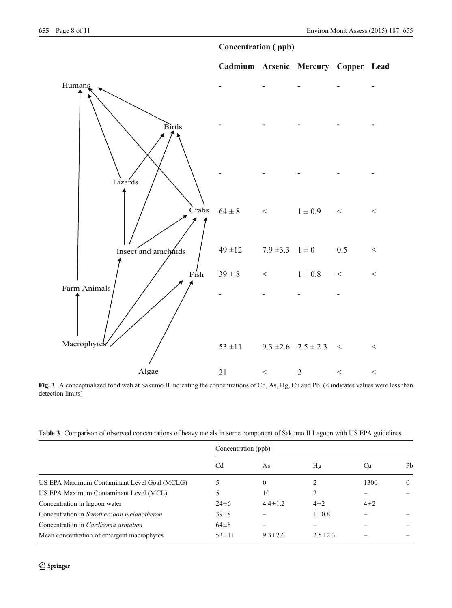## **Concentration ( ppb)**

<span id="page-8-0"></span>

Fig. 3 A conceptualized food web at Sakumo II indicating the concentrations of Cd, As, Hg, Cu and Pb. (< indicates values were less than detection limits)

|  | Table 3 Comparison of observed concentrations of heavy metals in some component of Sakumo II Lagoon with US EPA guidelines |  |  |  |  |  |
|--|----------------------------------------------------------------------------------------------------------------------------|--|--|--|--|--|
|--|----------------------------------------------------------------------------------------------------------------------------|--|--|--|--|--|

|                                              | Concentration (ppb) |               |               |          |          |  |
|----------------------------------------------|---------------------|---------------|---------------|----------|----------|--|
|                                              | Cd                  | As            | Hg            | Cu       | Pb       |  |
| US EPA Maximum Contaminant Level Goal (MCLG) |                     | $\theta$      |               | 1300     | $\theta$ |  |
| US EPA Maximum Contaminant Level (MCL)       |                     | 10            | 2             |          |          |  |
| Concentration in lagoon water                | $24\pm 6$           | $4.4 \pm 1.2$ | $4\pm 2$      | $4\pm 2$ |          |  |
| Concentration in Sarotherodon melanotheron   | $39 \pm 8$          |               | $1\pm0.8$     |          |          |  |
| Concentration in <i>Cardisoma armatum</i>    | $64\pm8$            |               |               |          |          |  |
| Mean concentration of emergent macrophytes   | $53 \pm 11$         | $9.3 \pm 2.6$ | $2.5 \pm 2.3$ |          |          |  |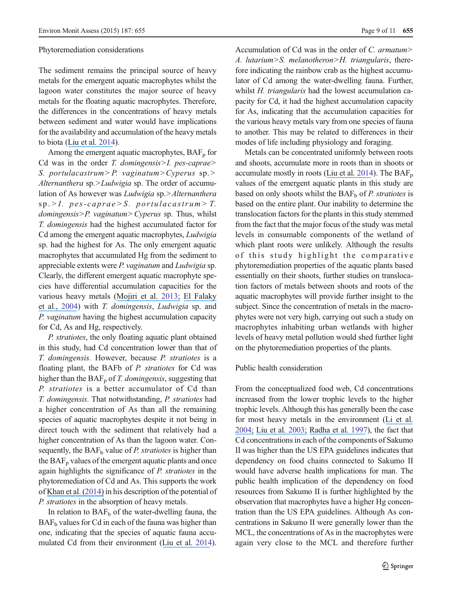#### Phytoremediation considerations

The sediment remains the principal source of heavy metals for the emergent aquatic macrophytes whilst the lagoon water constitutes the major source of heavy metals for the floating aquatic macrophytes. Therefore, the differences in the concentrations of heavy metals between sediment and water would have implications for the availability and accumulation of the heavy metals to biota ([Liu et al.](https://www.researchgate.net/publication/258168608_Bioaccumulation_and_Translocation_of_Arsenic_in_the_Ecosystem_of_the_Guandu_Wetland_Taiwan?el=1_x_8&enrichId=rgreq-98fcadb3f0a70df9475554036d87863e-XXX&enrichSource=Y292ZXJQYWdlOzI4MjM0OTU1MDtBUzozNTIxNjU5MDMyNTc2MDFAMTQ2MDk3NDMwMjYwMQ==) [2014](#page-11-0)).

Among the emergent aquatic macrophytes,  $BAF_p$  for Cd was in the order  $T$ . *domingensis>I*. *pes-caprae>* S. portulacastrum> P. vaginatum> Cyperus sp.> Alternanthera sp.>Ludwigia sp. The order of accumulation of As however was *Ludwigia* sp.>Alternanthera  $sp. > I.$  pes-caprae  $> S.$  portulacastrum  $> T.$ domingensis>P. vaginatum> Cyperus sp. Thus, whilst T. domingensis had the highest accumulated factor for Cd among the emergent aquatic macrophytes, Ludwigia sp. had the highest for As. The only emergent aquatic macrophytes that accumulated Hg from the sediment to appreciable extents were P. vaginatum and Ludwigia sp. Clearly, the different emergent aquatic macrophyte species have differential accumulation capacities for the various heavy metals ([Mojiri et al.](https://www.researchgate.net/publication/236116396_Phytoremediation_of_Heavy_Metals_from_Urban_Waste_Leachate_by_Southern_Cattail_Typha_domingensis?el=1_x_8&enrichId=rgreq-98fcadb3f0a70df9475554036d87863e-XXX&enrichSource=Y292ZXJQYWdlOzI4MjM0OTU1MDtBUzozNTIxNjU5MDMyNTc2MDFAMTQ2MDk3NDMwMjYwMQ==) [2013](#page-11-0); [El Falaky](https://www.researchgate.net/publication/237558595_AQUATIC_PLANTS_FOR_BIOREMEDIATION_OF_WASTE_WATER?el=1_x_8&enrichId=rgreq-98fcadb3f0a70df9475554036d87863e-XXX&enrichSource=Y292ZXJQYWdlOzI4MjM0OTU1MDtBUzozNTIxNjU5MDMyNTc2MDFAMTQ2MDk3NDMwMjYwMQ==) [et al.,](https://www.researchgate.net/publication/237558595_AQUATIC_PLANTS_FOR_BIOREMEDIATION_OF_WASTE_WATER?el=1_x_8&enrichId=rgreq-98fcadb3f0a70df9475554036d87863e-XXX&enrichSource=Y292ZXJQYWdlOzI4MjM0OTU1MDtBUzozNTIxNjU5MDMyNTc2MDFAMTQ2MDk3NDMwMjYwMQ==) [2004](#page-11-0)) with T. domingensis, Ludwigia sp. and P. vaginatum having the highest accumulation capacity for Cd, As and Hg, respectively.

P. stratiotes, the only floating aquatic plant obtained in this study, had Cd concentration lower than that of T. domingensis. However, because P. stratiotes is a floating plant, the BAFb of P. stratiotes for Cd was higher than the  $BAF_p$  of T. domingensis, suggesting that P. stratiotes is a better accumulator of Cd than T. domingensis. That notwithstanding, P. stratiotes had a higher concentration of As than all the remaining species of aquatic macrophytes despite it not being in direct touch with the sediment that relatively had a higher concentration of As than the lagoon water. Consequently, the  $BAF_b$  value of *P. stratiotes* is higher than the  $BAF<sub>p</sub>$  values of the emergent aquatic plants and once again highlights the significance of P. stratiotes in the phytoremediation of Cd and As. This supports the work of [Khan et al. \(](https://www.researchgate.net/publication/267033062_Pistia_stratiotes_L_Araceae_Phytochemistry_use_in_medicines_phytoremediation_biogas_and_management_options?el=1_x_8&enrichId=rgreq-98fcadb3f0a70df9475554036d87863e-XXX&enrichSource=Y292ZXJQYWdlOzI4MjM0OTU1MDtBUzozNTIxNjU5MDMyNTc2MDFAMTQ2MDk3NDMwMjYwMQ==)[2014](#page-11-0)[\)](https://www.researchgate.net/publication/267033062_Pistia_stratiotes_L_Araceae_Phytochemistry_use_in_medicines_phytoremediation_biogas_and_management_options?el=1_x_8&enrichId=rgreq-98fcadb3f0a70df9475554036d87863e-XXX&enrichSource=Y292ZXJQYWdlOzI4MjM0OTU1MDtBUzozNTIxNjU5MDMyNTc2MDFAMTQ2MDk3NDMwMjYwMQ==) in his description of the potential of P. stratiotes in the absorption of heavy metals.

In relation to  $BAF<sub>b</sub>$  of the water-dwelling fauna, the  $BAF<sub>b</sub>$  values for Cd in each of the fauna was higher than one, indicating that the species of aquatic fauna accumulated Cd from their environment ([Liu et al.](https://www.researchgate.net/publication/258168608_Bioaccumulation_and_Translocation_of_Arsenic_in_the_Ecosystem_of_the_Guandu_Wetland_Taiwan?el=1_x_8&enrichId=rgreq-98fcadb3f0a70df9475554036d87863e-XXX&enrichSource=Y292ZXJQYWdlOzI4MjM0OTU1MDtBUzozNTIxNjU5MDMyNTc2MDFAMTQ2MDk3NDMwMjYwMQ==) [2014\)](#page-11-0). Accumulation of Cd was in the order of C. armatum> A. lutarium>S. melanotheron>H. triangularis, therefore indicating the rainbow crab as the highest accumulator of Cd among the water-dwelling fauna. Further, whilst H. triangularis had the lowest accumulation capacity for Cd, it had the highest accumulation capacity for As, indicating that the accumulation capacities for the various heavy metals vary from one species of fauna to another. This may be related to differences in their modes of life including physiology and foraging.

Metals can be concentrated uniformly between roots and shoots, accumulate more in roots than in shoots or accumulate mostly in roots ([Liu et al.](https://www.researchgate.net/publication/258168608_Bioaccumulation_and_Translocation_of_Arsenic_in_the_Ecosystem_of_the_Guandu_Wetland_Taiwan?el=1_x_8&enrichId=rgreq-98fcadb3f0a70df9475554036d87863e-XXX&enrichSource=Y292ZXJQYWdlOzI4MjM0OTU1MDtBUzozNTIxNjU5MDMyNTc2MDFAMTQ2MDk3NDMwMjYwMQ==) [2014\)](#page-11-0). The  $BAF_p$ values of the emergent aquatic plants in this study are based on only shoots whilst the  $BAF_b$  of P. stratiotes is based on the entire plant. Our inability to determine the translocation factors for the plants in this study stemmed from the fact that the major focus of the study was metal levels in consumable components of the wetland of which plant roots were unlikely. Although the results of this study highlight the comparative phytoremediation properties of the aquatic plants based essentially on their shoots, further studies on translocation factors of metals between shoots and roots of the aquatic macrophytes will provide further insight to the subject. Since the concentration of metals in the macrophytes were not very high, carrying out such a study on macrophytes inhabiting urban wetlands with higher levels of heavy metal pollution would shed further light on the phytoremediation properties of the plants.

#### Public health consideration

From the conceptualized food web, Cd concentrations increased from the lower trophic levels to the higher trophic levels. Although this has generally been the case for most heavy metals in the environment ([Li et al.](https://www.researchgate.net/publication/8898288_The_Study_of_Metal_Contamination_in_Urban_Soils_of_Hong_Kong_Using_a_GIS-based_Approach?el=1_x_8&enrichId=rgreq-98fcadb3f0a70df9475554036d87863e-XXX&enrichSource=Y292ZXJQYWdlOzI4MjM0OTU1MDtBUzozNTIxNjU5MDMyNTc2MDFAMTQ2MDk3NDMwMjYwMQ==) [200](#page-11-0)[4;](https://www.researchgate.net/publication/8898288_The_Study_of_Metal_Contamination_in_Urban_Soils_of_Hong_Kong_Using_a_GIS-based_Approach?el=1_x_8&enrichId=rgreq-98fcadb3f0a70df9475554036d87863e-XXX&enrichSource=Y292ZXJQYWdlOzI4MjM0OTU1MDtBUzozNTIxNjU5MDMyNTc2MDFAMTQ2MDk3NDMwMjYwMQ==) [Liu et al.](https://www.researchgate.net/publication/7558196_Multivariate_Statistical_Study_of_Heavy_Metal_Enrichment_in_Sediments_of_the_Pearl_River_Estuary?el=1_x_8&enrichId=rgreq-98fcadb3f0a70df9475554036d87863e-XXX&enrichSource=Y292ZXJQYWdlOzI4MjM0OTU1MDtBUzozNTIxNjU5MDMyNTc2MDFAMTQ2MDk3NDMwMjYwMQ==) [2003;](#page-11-0) [Radha et al.](https://www.researchgate.net/publication/13199560_Assessment_of_Pb_Cd_Cu_and_Zn_Exposures_of_6-_to_10-Year-Old_Children_in_Mumbai?el=1_x_8&enrichId=rgreq-98fcadb3f0a70df9475554036d87863e-XXX&enrichSource=Y292ZXJQYWdlOzI4MjM0OTU1MDtBUzozNTIxNjU5MDMyNTc2MDFAMTQ2MDk3NDMwMjYwMQ==) [1997\)](#page-11-0), the fact that Cd concentrations in each of the components of Sakumo II was higher than the US EPA guidelines indicates that dependency on food chains connected to Sakumo II would have adverse health implications for man. The public health implication of the dependency on food resources from Sakumo II is further highlighted by the observation that macrophytes have a higher Hg concentration than the US EPA guidelines. Although As concentrations in Sakumo II were generally lower than the MCL, the concentrations of As in the macrophytes were again very close to the MCL and therefore further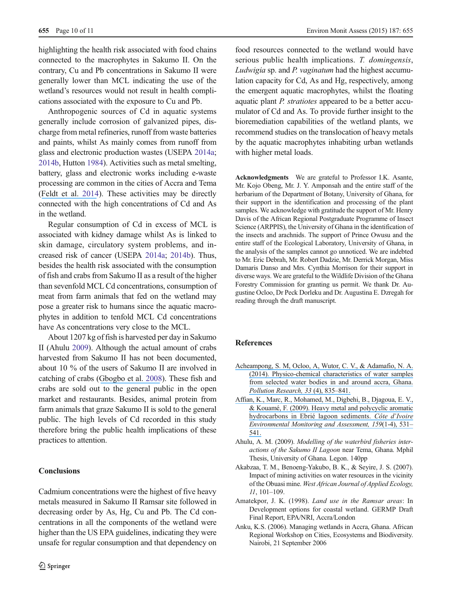<span id="page-10-0"></span>highlighting the health risk associated with food chains connected to the macrophytes in Sakumo II. On the contrary, Cu and Pb concentrations in Sakumo II were generally lower than MCL indicating the use of the wetland's resources would not result in health complications associated with the exposure to Cu and Pb.

Anthropogenic sources of Cd in aquatic systems generally include corrosion of galvanized pipes, discharge from metal refineries, runoff from waste batteries and paints, whilst As mainly comes from runoff from glass and electronic production wastes (USEPA [2014a](#page-11-0); [2014b](#page-11-0), Hutton [1984\)](#page-11-0). Activities such as metal smelting, battery, glass and electronic works including e-waste processing are common in the cities of Accra and Tema ([Feldt et al.](https://www.researchgate.net/publication/255694514_High_levels_of_PAH-metabolites_in_urine_of_e-waste_recycling_workers_from_Agbogbloshie_Ghana?el=1_x_8&enrichId=rgreq-98fcadb3f0a70df9475554036d87863e-XXX&enrichSource=Y292ZXJQYWdlOzI4MjM0OTU1MDtBUzozNTIxNjU5MDMyNTc2MDFAMTQ2MDk3NDMwMjYwMQ==) [2014\)](#page-11-0). These activities may be directly connected with the high concentrations of Cd and As in the wetland.

Regular consumption of Cd in excess of MCL is associated with kidney damage whilst As is linked to skin damage, circulatory system problems, and increased risk of cancer (USEPA [2014a;](#page-11-0) [2014b\)](#page-11-0). Thus, besides the health risk associated with the consumption of fish and crabs from Sakumo II as a result of the higher than sevenfold MCL Cd concentrations, consumption of meat from farm animals that fed on the wetland may pose a greater risk to humans since the aquatic macrophytes in addition to tenfold MCL Cd concentrations have As concentrations very close to the MCL.

About 1207 kg of fish is harvested per day in Sakumo II (Ahulu 2009). Although the actual amount of crabs harvested from Sakumo II has not been documented, about 10 % of the users of Sakumo II are involved in catching of crabs ([Gbogbo et al.](https://www.researchgate.net/publication/249041056_Nature_and_pattern_of_lagoon_fisheries_resource_utilisation_and_their_implications_for_waterbird_management_in_coastal_Ghana?el=1_x_8&enrichId=rgreq-98fcadb3f0a70df9475554036d87863e-XXX&enrichSource=Y292ZXJQYWdlOzI4MjM0OTU1MDtBUzozNTIxNjU5MDMyNTc2MDFAMTQ2MDk3NDMwMjYwMQ==) [2008](#page-11-0)). These fish and crabs are sold out to the general public in the open market and restaurants. Besides, animal protein from farm animals that graze Sakumo II is sold to the general public. The high levels of Cd recorded in this study therefore bring the public health implications of these practices to attention.

## **Conclusions**

Cadmium concentrations were the highest of five heavy metals measured in Sakumo II Ramsar site followed in decreasing order by As, Hg, Cu and Pb. The Cd concentrations in all the components of the wetland were higher than the US EPA guidelines, indicating they were unsafe for regular consumption and that dependency on food resources connected to the wetland would have serious public health implications. T. domingensis, Ludwigia sp. and P. vaginatum had the highest accumulation capacity for Cd, As and Hg, respectively, among the emergent aquatic macrophytes, whilst the floating aquatic plant P. stratiotes appeared to be a better accumulator of Cd and As. To provide further insight to the bioremediation capabilities of the wetland plants, we recommend studies on the translocation of heavy metals by the aquatic macrophytes inhabiting urban wetlands with higher metal loads.

Acknowledgments We are grateful to Professor I.K. Asante, Mr. Kojo Obeng, Mr. J. Y. Amponsah and the entire staff of the herbarium of the Department of Botany, University of Ghana, for their support in the identification and processing of the plant samples. We acknowledge with gratitude the support of Mr. Henry Davis of the African Regional Postgraduate Programme of Insect Science (ARPPIS), the University of Ghana in the identification of the insects and arachnids. The support of Prince Owusu and the entire staff of the Ecological Laboratory, University of Ghana, in the analysis of the samples cannot go unnoticed. We are indebted to Mr. Eric Debrah, Mr. Robert Dadzie, Mr. Derrick Morgan, Miss Damaris Danso and Mrs. Cynthia Morrison for their support in diverse ways. We are grateful to the Wildlife Division of the Ghana Forestry Commission for granting us permit. We thank Dr. Augustine Ocloo, Dr Peck Dorleku and Dr. Augustina E. Dzregah for reading through the draft manuscript.

## References

- [Acheampong, S. M, Ocloo, A, Wutor, C. V., & Adamafio, N. A.](https://www.researchgate.net/publication/274720474_PHYSICO-CHEMICAL_CHARACTERISTICS_OF_WATER_SAMPLES_FROM_SELECTED_WATER_BODIES_IN_AND_AROUND_ACCRA_GHANA?el=1_x_8&enrichId=rgreq-98fcadb3f0a70df9475554036d87863e-XXX&enrichSource=Y292ZXJQYWdlOzI4MjM0OTU1MDtBUzozNTIxNjU5MDMyNTc2MDFAMTQ2MDk3NDMwMjYwMQ==) [\(2014\). Physico-chemical characteristics of water samples](https://www.researchgate.net/publication/274720474_PHYSICO-CHEMICAL_CHARACTERISTICS_OF_WATER_SAMPLES_FROM_SELECTED_WATER_BODIES_IN_AND_AROUND_ACCRA_GHANA?el=1_x_8&enrichId=rgreq-98fcadb3f0a70df9475554036d87863e-XXX&enrichSource=Y292ZXJQYWdlOzI4MjM0OTU1MDtBUzozNTIxNjU5MDMyNTc2MDFAMTQ2MDk3NDMwMjYwMQ==) [from selected water bodies in and around accra, Ghana.](https://www.researchgate.net/publication/274720474_PHYSICO-CHEMICAL_CHARACTERISTICS_OF_WATER_SAMPLES_FROM_SELECTED_WATER_BODIES_IN_AND_AROUND_ACCRA_GHANA?el=1_x_8&enrichId=rgreq-98fcadb3f0a70df9475554036d87863e-XXX&enrichSource=Y292ZXJQYWdlOzI4MjM0OTU1MDtBUzozNTIxNjU5MDMyNTc2MDFAMTQ2MDk3NDMwMjYwMQ==) [Pollution Research, 33](https://www.researchgate.net/publication/274720474_PHYSICO-CHEMICAL_CHARACTERISTICS_OF_WATER_SAMPLES_FROM_SELECTED_WATER_BODIES_IN_AND_AROUND_ACCRA_GHANA?el=1_x_8&enrichId=rgreq-98fcadb3f0a70df9475554036d87863e-XXX&enrichSource=Y292ZXJQYWdlOzI4MjM0OTU1MDtBUzozNTIxNjU5MDMyNTc2MDFAMTQ2MDk3NDMwMjYwMQ==) (4), 835–841.
- [Affian, K., Marc, R., Mohamed, M., Digbehi, B., Djagoua, E. V.,](https://www.researchgate.net/publication/23642549_Heavy_metal_and_polycyclic_aromatic_hydrocarbons_in_Ebri_lagoon_sediments_Cte_d) [& Kouamé, F. \(2009\). Heavy metal and polycyclic aromatic](https://www.researchgate.net/publication/23642549_Heavy_metal_and_polycyclic_aromatic_hydrocarbons_in_Ebri_lagoon_sediments_Cte_d) [hydrocarbons in Ebrié lagoon sediments.](https://www.researchgate.net/publication/23642549_Heavy_metal_and_polycyclic_aromatic_hydrocarbons_in_Ebri_lagoon_sediments_Cte_d) Côte d'Ivoire [Environmental Monitoring and Assessment, 159](https://www.researchgate.net/publication/23642549_Heavy_metal_and_polycyclic_aromatic_hydrocarbons_in_Ebri_lagoon_sediments_Cte_d)(1-4), 531– [541.](https://www.researchgate.net/publication/23642549_Heavy_metal_and_polycyclic_aromatic_hydrocarbons_in_Ebri_lagoon_sediments_Cte_d)
- Ahulu, A. M. (2009). Modelling of the waterbird fisheries interactions of the Sakumo II Lagoon near Tema, Ghana. Mphil Thesis, University of Ghana. Legon. 140pp
- Akabzaa, T. M., Benoeng-Yakubo, B. K., & Seyire, J. S. (2007). Impact of mining activities on water resources in the vicinity of the Obuasi mine. West African Journal of Applied Ecology, 11, 101–109.
- Amatekpor, J. K. (1998). Land use in the Ramsar areas: In Development options for coastal wetland. GERMP Draft Final Report, EPA/NRI, Accra/London
- Anku, K.S. (2006). Managing wetlands in Accra, Ghana. African Regional Workshop on Cities, Ecosystems and Biodiversity. Nairobi, 21 September 2006